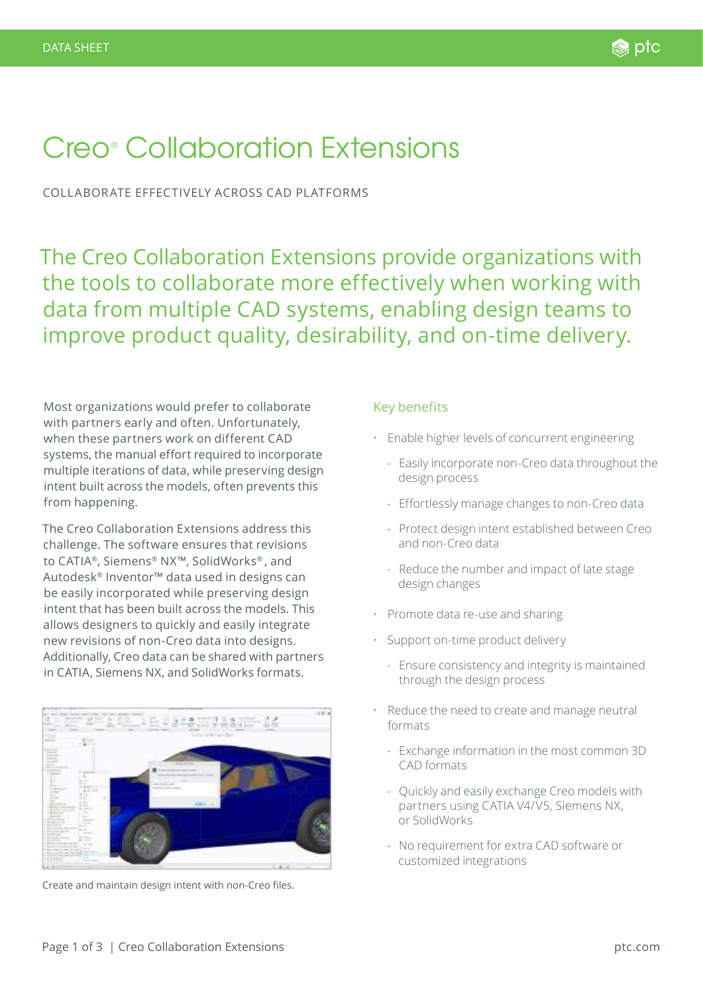# Creo® Collaboration Extensions

COLLABORATE EFFECTIVELY ACROSS CAD PLATFORMS

The Creo Collaboration Extensions provide organizations with the tools to collaborate more effectively when working with data from multiple CAD systems, enabling design teams to improve product quality, desirability, and on-time delivery.

Most organizations would prefer to collaborate with partners early and often. Unfortunately, when these partners work on different CAD systems, the manual effort required to incorporate multiple iterations of data, while preserving design intent built across the models, often prevents this from happening.

The Creo Collaboration Extensions address this challenge. The software ensures that revisions to CATIA®, Siemens® NX™, SolidWorks® , and Autodesk® Inventor™ data used in designs can be easily incorporated while preserving design intent that has been built across the models. This allows designers to quickly and easily integrate new revisions of non-Creo data into designs. Additionally, Creo data can be shared with partners in CATIA, Siemens NX, and SolidWorks formats.



Create and maintain design intent with non-Creo files.

#### Key benefits

- Enable higher levels of concurrent engineering
	- Easily incorporate non-Creo data throughout the design process
	- Effortlessly manage changes to non-Creo data
	- Protect design intent established between Creo and non-Creo data
	- Reduce the number and impact of late stage design changes
- Promote data re-use and sharing
- Support on-time product delivery
	- Ensure consistency and integrity is maintained through the design process
- Reduce the need to create and manage neutral formats
	- Exchange information in the most common 3D CAD formats
	- Quickly and easily exchange Creo models with partners using CATIA V4/V5, Siemens NX, or SolidWorks
	- No requirement for extra CAD software or customized integrations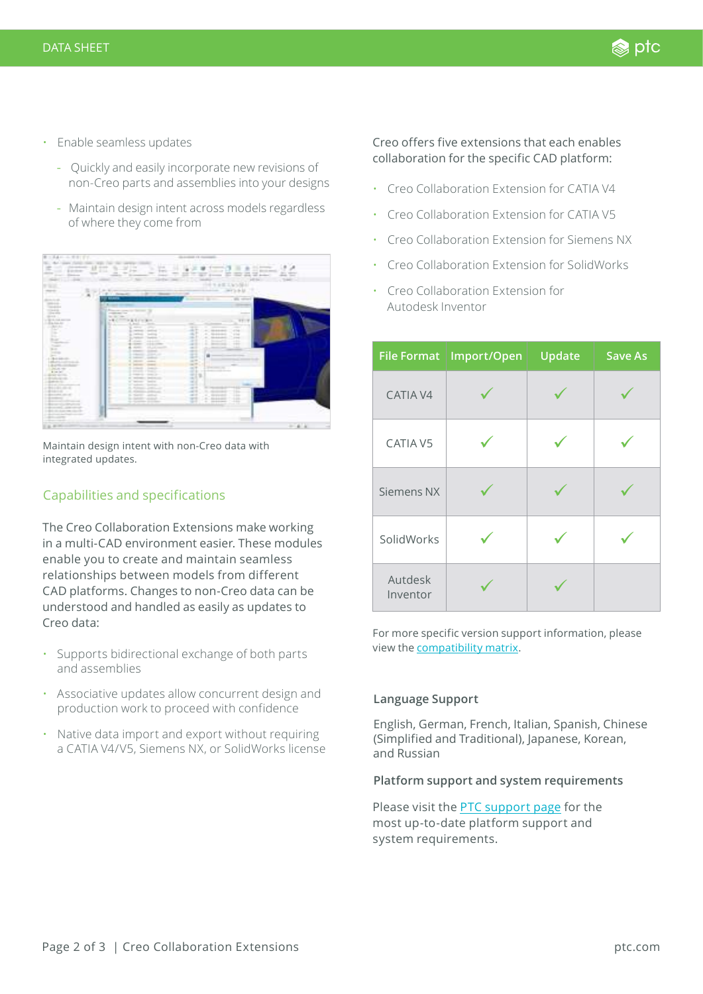- Enable seamless updates
	- Quickly and easily incorporate new revisions of non-Creo parts and assemblies into your designs
	- Maintain design intent across models regardless of where they come from

| 1.11<br>Daniel Corp.<br>-<br>----<br>Charles Constitution                                                                                                                                                                                                                                                                                                                                                                                                                                                                       | <br>m<br><b>Sec</b><br>$\sim$<br>$\sim$<br><b>Science</b><br><b>STATISTICS</b>                                                                                                                                                                                                                                                                                                                                                                                                                                                                                                                                                                                                                                                  | 2233<br>$\frac{1}{2} \left( \frac{1}{2} \right) \left( \frac{1}{2} \right) \left( \frac{1}{2} \right) \left( \frac{1}{2} \right) \left( \frac{1}{2} \right) \left( \frac{1}{2} \right) \left( \frac{1}{2} \right) \left( \frac{1}{2} \right) \left( \frac{1}{2} \right) \left( \frac{1}{2} \right) \left( \frac{1}{2} \right) \left( \frac{1}{2} \right) \left( \frac{1}{2} \right) \left( \frac{1}{2} \right) \left( \frac{1}{2} \right) \left( \frac{1}{2} \right) \left( \frac$<br><b>Service Control</b><br>-<br>and the chief stray of desired<br>The state of the state and<br>$100 - 100$ | ř<br><b>Service Construction</b><br>state that<br>TANK OF |
|---------------------------------------------------------------------------------------------------------------------------------------------------------------------------------------------------------------------------------------------------------------------------------------------------------------------------------------------------------------------------------------------------------------------------------------------------------------------------------------------------------------------------------|---------------------------------------------------------------------------------------------------------------------------------------------------------------------------------------------------------------------------------------------------------------------------------------------------------------------------------------------------------------------------------------------------------------------------------------------------------------------------------------------------------------------------------------------------------------------------------------------------------------------------------------------------------------------------------------------------------------------------------|--------------------------------------------------------------------------------------------------------------------------------------------------------------------------------------------------------------------------------------------------------------------------------------------------------------------------------------------------------------------------------------------------------------------------------------------------------------------------------------------------------------------------------------------------------------------------------------------------|-----------------------------------------------------------|
| w                                                                                                                                                                                                                                                                                                                                                                                                                                                                                                                               |                                                                                                                                                                                                                                                                                                                                                                                                                                                                                                                                                                                                                                                                                                                                 | 一千千千年二年<br>and to de-                                                                                                                                                                                                                                                                                                                                                                                                                                                                                                                                                                            |                                                           |
| ----<br>--                                                                                                                                                                                                                                                                                                                                                                                                                                                                                                                      | 1. E. L. Democratic control of the company<br>and the company company of                                                                                                                                                                                                                                                                                                                                                                                                                                                                                                                                                                                                                                                        |                                                                                                                                                                                                                                                                                                                                                                                                                                                                                                                                                                                                  |                                                           |
| <b>Service</b><br><b>History</b><br>color state<br>distant,<br>or light do thick start can                                                                                                                                                                                                                                                                                                                                                                                                                                      | <b>Blue</b><br>continued from<br>the start come.<br><b>SHOW</b>                                                                                                                                                                                                                                                                                                                                                                                                                                                                                                                                                                                                                                                                 |                                                                                                                                                                                                                                                                                                                                                                                                                                                                                                                                                                                                  |                                                           |
| 1. Bacher Jon<br><b>CARL</b><br>and of<br>56<br>14.1<br><b>State</b><br>Total Ave<br>-<br>Total C                                                                                                                                                                                                                                                                                                                                                                                                                               | to at the street<br>W.<br>÷<br>Links.<br>1000<br>$-$<br>-<br>٠<br>٠<br>$-$<br><b>GLORIDAN</b><br>$-11.1$<br><b>E</b> Deliver<br>--<br>To restant<br>٠<br><b>Expertise</b><br><b>SALES</b><br>٠<br>$-1000$<br>$-111$                                                                                                                                                                                                                                                                                                                                                                                                                                                                                                             | m<br>٠<br>-<br>$\frac{1}{2} \left( \frac{1}{2} \right) \left( \frac{1}{2} \right) \left( \frac{1}{2} \right)$<br>÷<br>474<br><b>The development</b><br>$\rightarrow$<br><b>Grandman</b><br>٠<br>$\frac{1}{2} \left( \frac{1}{2} \right) \left( \frac{1}{2} \right)$<br>÷<br>٠<br>$-100$<br><b>SEA GLACIER CO</b><br>m<br>-<br>---<br>$\frac{1}{2}$<br>-                                                                                                                                                                                                                                          |                                                           |
| <b>State</b><br><b>State</b><br><b>Service</b><br>A collect data collect<br>Latitude Liverpools at<br>1. March<br>1. Delux ray                                                                                                                                                                                                                                                                                                                                                                                                  | <b>CALL AND COMMERCIAL</b><br>٠<br>$\frac{1}{2} \left( \frac{1}{2} \right) \left( \frac{1}{2} \right) \left( \frac{1}{2} \right) \left( \frac{1}{2} \right) \left( \frac{1}{2} \right) \left( \frac{1}{2} \right) \left( \frac{1}{2} \right) \left( \frac{1}{2} \right) \left( \frac{1}{2} \right) \left( \frac{1}{2} \right) \left( \frac{1}{2} \right) \left( \frac{1}{2} \right) \left( \frac{1}{2} \right) \left( \frac{1}{2} \right) \left( \frac{1}{2} \right) \left( \frac{1}{2} \right) \left( \frac$<br><b>COMPANY</b><br><b>STATISTICS</b><br><b>CONTRACTOR</b><br>-<br>Total Corp.<br>٠<br><b>SERVICE</b><br>comments.<br><b>STATISTICS</b><br>٠<br><b>College College</b><br><b>Contractor</b><br><b>COMMERCIAL</b> | -<br>m i<br>B<br>on the<br><b>SEPTIME</b><br>$\rightarrow$                                                                                                                                                                                                                                                                                                                                                                                                                                                                                                                                       |                                                           |
| Arrest Call<br>L. daniar sicres.<br>1 MILLION<br>the plant was the country of the<br>the party of the control of the control of<br>$\frac{1}{2} \left( \frac{1}{2} \frac{1}{2} \frac{1}{2} \frac{1}{2} \frac{1}{2} \frac{1}{2} \frac{1}{2} \frac{1}{2} \frac{1}{2} \frac{1}{2} \frac{1}{2} \frac{1}{2} \frac{1}{2} \frac{1}{2} \frac{1}{2} \frac{1}{2} \frac{1}{2} \frac{1}{2} \frac{1}{2} \frac{1}{2} \frac{1}{2} \frac{1}{2} \frac{1}{2} \frac{1}{2} \frac{1}{2} \frac{1}{2} \frac{1}{2} \frac{1}{2} \frac{1}{2} \frac{1}{2}$ | 2-March 170-63-1<br><b>STATISTICS</b><br>at technology contractors<br>Textile.<br>of the property<br>٠<br>and the product of the product<br>٠<br>L. Kongo, John                                                                                                                                                                                                                                                                                                                                                                                                                                                                                                                                                                 | <br>711<br><b>SEA</b><br>÷<br>-<br><b>START OF BUILDING</b><br>$-114$<br>                                                                                                                                                                                                                                                                                                                                                                                                                                                                                                                        |                                                           |
| $-0.0014333333333333$<br>$-20$<br><b>STATE CARDS</b><br>$-20$                                                                                                                                                                                                                                                                                                                                                                                                                                                                   | ۰<br>E. Contact Administration<br>٠<br>S. Newton Artists<br>٠<br>to contemporary and state                                                                                                                                                                                                                                                                                                                                                                                                                                                                                                                                                                                                                                      | 164<br>$-20.0$<br>۰<br>$-10-1$<br>×<br><b>IA</b><br>×<br>-<br><b>SERVICE</b><br>m<br>a measure<br>-<br>-                                                                                                                                                                                                                                                                                                                                                                                                                                                                                         |                                                           |

Maintain design intent with non-Creo data with integrated updates.

# Capabilities and specifications

The Creo Collaboration Extensions make working in a multi-CAD environment easier. These modules enable you to create and maintain seamless relationships between models from different CAD platforms. Changes to non-Creo data can be understood and handled as easily as updates to Creo data:

- Supports bidirectional exchange of both parts and assemblies
- Associative updates allow concurrent design and production work to proceed with confidence
- Native data import and export without requiring a CATIA V4/V5, Siemens NX, or SolidWorks license

### Creo offers five extensions that each enables collaboration for the specific CAD platform:

- Creo Collaboration Extension for CATIA V4
- Creo Collaboration Extension for CATIA V5
- Creo Collaboration Extension for Siemens NX
- Creo Collaboration Extension for SolidWorks
- Creo Collaboration Extension for Autodesk Inventor

| <b>File Format</b>  | Import/Open | Update | <b>Save As</b> |
|---------------------|-------------|--------|----------------|
| CATIA V4            |             |        |                |
| CATIA V5            |             |        |                |
| Siemens NX          |             |        |                |
| SolidWorks          |             |        |                |
| Autdesk<br>Inventor |             |        |                |

For more specific version support information, please view the [compatibility matrix](https://support.ptc.com/appserver/cs/view/solution.jsp?n=CS134024&posno=1&q=data%20version%20exchange%20support&nav=&source=Search).

#### **Language Support**

English, German, French, Italian, Spanish, Chinese (Simplified and Traditional), Japanese, Korean, and Russian

#### **Platform support and system requirements**

Please visit the [PTC support page](http://PTC.com/partners/hardware/current/support.htm) for the most up-to-date platform support and system requirements.